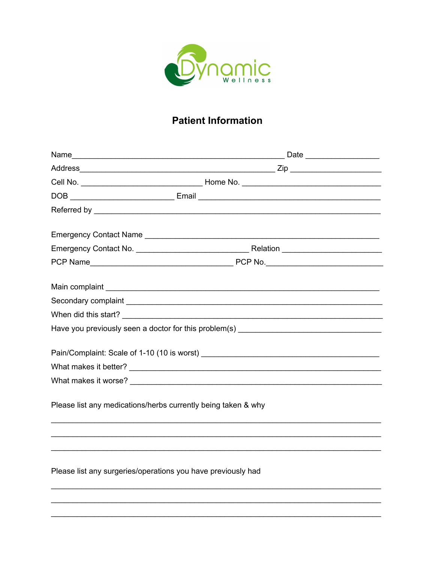

# **Patient Information**

|                                                               | Pain/Complaint: Scale of 1-10 (10 is worst)                                                                             |
|---------------------------------------------------------------|-------------------------------------------------------------------------------------------------------------------------|
|                                                               |                                                                                                                         |
|                                                               |                                                                                                                         |
| Please list any medications/herbs currently being taken & why | <u> 1989 - Johann John Stoff, deutscher Stoff als der Stoff als der Stoff als der Stoff als der Stoff als der Stoff</u> |
|                                                               |                                                                                                                         |
| Please list any surgeries/operations you have previously had  |                                                                                                                         |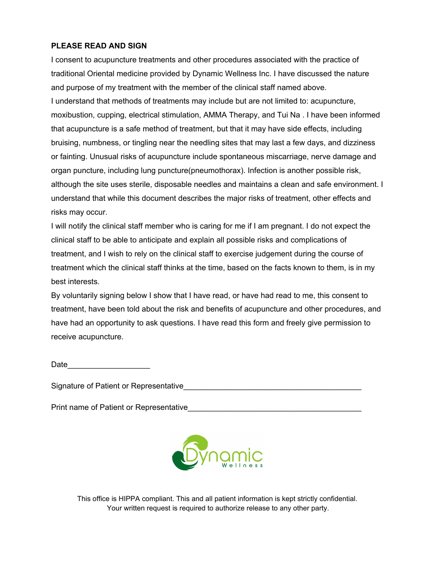#### **PLEASE READ AND SIGN**

I consent to acupuncture treatments and other procedures associated with the practice of traditional Oriental medicine provided by Dynamic Wellness Inc. I have discussed the nature and purpose of my treatment with the member of the clinical staff named above. I understand that methods of treatments may include but are not limited to: acupuncture, moxibustion, cupping, electrical stimulation, AMMA Therapy, and Tui Na . I have been informed that acupuncture is a safe method of treatment, but that it may have side effects, including bruising, numbness, or tingling near the needling sites that may last a few days, and dizziness or fainting. Unusual risks of acupuncture include spontaneous miscarriage, nerve damage and organ puncture, including lung puncture(pneumothorax). Infection is another possible risk, although the site uses sterile, disposable needles and maintains a clean and safe environment. I understand that while this document describes the major risks of treatment, other effects and risks may occur.

I will notify the clinical staff member who is caring for me if I am pregnant. I do not expect the clinical staff to be able to anticipate and explain all possible risks and complications of treatment, and I wish to rely on the clinical staff to exercise judgement during the course of treatment which the clinical staff thinks at the time, based on the facts known to them, is in my best interests.

By voluntarily signing below I show that I have read, or have had read to me, this consent to treatment, have been told about the risk and benefits of acupuncture and other procedures, and have had an opportunity to ask questions. I have read this form and freely give permission to receive acupuncture.

Date and the set of  $\sim$ 

Signature of Patient or Representative

Print name of Patient or Representative **Example 2018** 



This office is HIPPA compliant. This and all patient information is kept strictly confidential. Your written request is required to authorize release to any other party.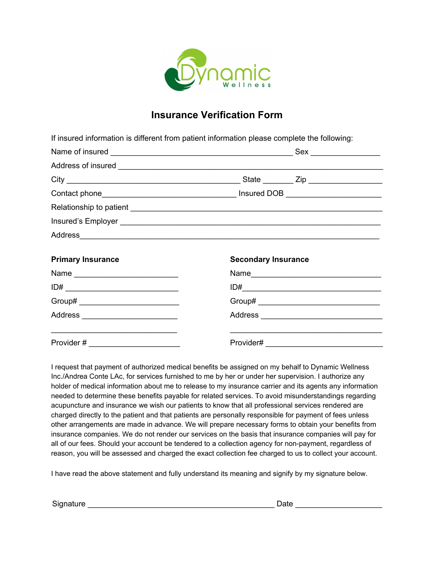

## **Insurance Verification Form**

If insured information is different from patient information please complete the following:

| <b>Primary Insurance</b>          | <b>Secondary Insurance</b> |      |  |
|-----------------------------------|----------------------------|------|--|
| Name                              |                            | Name |  |
|                                   |                            |      |  |
| Group# __________________________ |                            |      |  |
|                                   |                            |      |  |

Provider # \_\_\_\_\_\_\_\_\_\_\_\_\_\_\_\_\_\_\_\_\_ Provider# \_\_\_\_\_\_\_\_\_\_\_\_\_\_\_\_\_\_\_\_\_\_\_\_\_\_\_

I request that payment of authorized medical benefits be assigned on my behalf to Dynamic Wellness Inc./Andrea Conte LAc, for services furnished to me by her or under her supervision. I authorize any holder of medical information about me to release to my insurance carrier and its agents any information needed to determine these benefits payable for related services. To avoid misunderstandings regarding acupuncture and insurance we wish our patients to know that all professional services rendered are charged directly to the patient and that patients are personally responsible for payment of fees unless other arrangements are made in advance. We will prepare necessary forms to obtain your benefits from insurance companies. We do not render our services on the basis that insurance companies will pay for all of our fees. Should your account be tendered to a collection agency for non-payment, regardless of reason, you will be assessed and charged the exact collection fee charged to us to collect your account.

 $\overline{\phantom{a}}$  , and the contribution of the contribution of the contribution of the contribution of the contribution of the contribution of the contribution of the contribution of the contribution of the contribution of the

I have read the above statement and fully understand its meaning and signify by my signature below.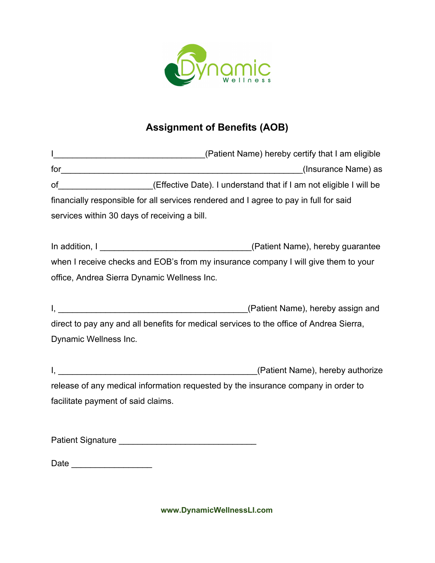

# **Assignment of Benefits (AOB)**

|                                    | of _____________________(Effective Date). I understand that if I am not eligible I will be |
|------------------------------------|--------------------------------------------------------------------------------------------|
|                                    | financially responsible for all services rendered and I agree to pay in full for said      |
|                                    | services within 30 days of receiving a bill.                                               |
|                                    |                                                                                            |
|                                    | when I receive checks and EOB's from my insurance company I will give them to your         |
|                                    | office, Andrea Sierra Dynamic Wellness Inc.                                                |
|                                    | $\mathsf{I}, \underline{\hspace{1cm}}$<br>(Patient Name), hereby assign and                |
|                                    | direct to pay any and all benefits for medical services to the office of Andrea Sierra,    |
| Dynamic Wellness Inc.              |                                                                                            |
|                                    | <u> 2000 - Johann Stone, mars et al. (</u><br>(Patient Name), hereby authorize             |
|                                    | release of any medical information requested by the insurance company in order to          |
| facilitate payment of said claims. |                                                                                            |
|                                    |                                                                                            |

Date \_\_\_\_\_\_\_\_\_\_\_\_\_\_\_\_\_

**www.DynamicWellnessLI.com**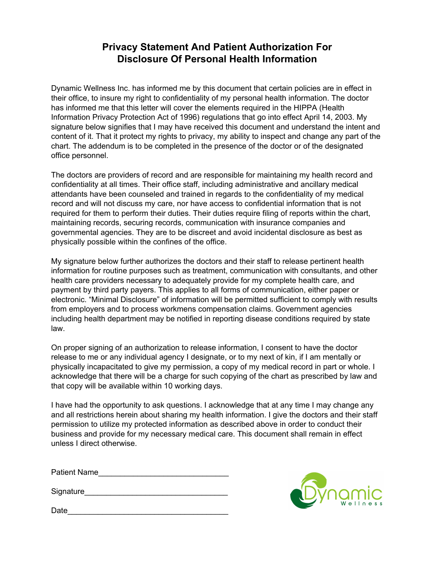### **Privacy Statement And Patient Authorization For Disclosure Of Personal Health Information**

Dynamic Wellness Inc. has informed me by this document that certain policies are in effect in their office, to insure my right to confidentiality of my personal health information. The doctor has informed me that this letter will cover the elements required in the HIPPA (Health Information Privacy Protection Act of 1996) regulations that go into effect April 14, 2003. My signature below signifies that I may have received this document and understand the intent and content of it. That it protect my rights to privacy, my ability to inspect and change any part of the chart. The addendum is to be completed in the presence of the doctor or of the designated office personnel.

The doctors are providers of record and are responsible for maintaining my health record and confidentiality at all times. Their office staff, including administrative and ancillary medical attendants have been counseled and trained in regards to the confidentiality of my medical record and will not discuss my care, nor have access to confidential information that is not required for them to perform their duties. Their duties require filing of reports within the chart, maintaining records, securing records, communication with insurance companies and governmental agencies. They are to be discreet and avoid incidental disclosure as best as physically possible within the confines of the office.

My signature below further authorizes the doctors and their staff to release pertinent health information for routine purposes such as treatment, communication with consultants, and other health care providers necessary to adequately provide for my complete health care, and payment by third party payers. This applies to all forms of communication, either paper or electronic. "Minimal Disclosure" of information will be permitted sufficient to comply with results from employers and to process workmens compensation claims. Government agencies including health department may be notified in reporting disease conditions required by state law.

On proper signing of an authorization to release information, I consent to have the doctor release to me or any individual agency I designate, or to my next of kin, if I am mentally or physically incapacitated to give my permission, a copy of my medical record in part or whole. I acknowledge that there will be a charge for such copying of the chart as prescribed by law and that copy will be available within 10 working days.

I have had the opportunity to ask questions. I acknowledge that at any time I may change any and all restrictions herein about sharing my health information. I give the doctors and their staff permission to utilize my protected information as described above in order to conduct their business and provide for my necessary medical care. This document shall remain in effect unless I direct otherwise.

Patient Name\_\_\_\_\_\_\_\_\_\_\_\_\_\_\_\_\_\_\_\_\_\_\_\_\_\_\_\_\_\_

Signature\_\_\_\_\_\_\_\_\_\_\_\_\_\_\_\_\_\_\_\_\_\_\_\_\_\_\_\_\_\_\_\_\_

Date\_\_\_\_\_\_\_\_\_\_\_\_\_\_\_\_\_\_\_\_\_\_\_\_\_\_\_\_\_\_\_\_\_\_\_\_\_